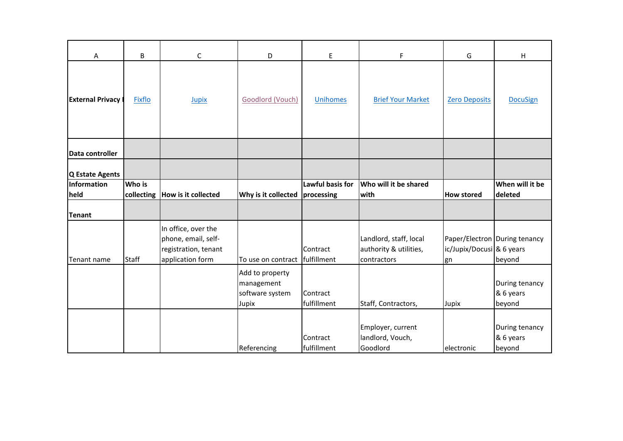| Α                         | B             | $\mathsf C$                                                                            | D                                                         | E                              | $\mathsf F$                                                     | G                               | н                                       |
|---------------------------|---------------|----------------------------------------------------------------------------------------|-----------------------------------------------------------|--------------------------------|-----------------------------------------------------------------|---------------------------------|-----------------------------------------|
| <b>External Privacy I</b> | Fixflo        | Jupix                                                                                  | <b>Goodlord (Vouch)</b>                                   | Unihomes                       | <b>Brief Your Market</b>                                        | <b>Zero Deposits</b>            | <b>DocuSign</b>                         |
| Data controller           |               |                                                                                        |                                                           |                                |                                                                 |                                 |                                         |
| Q Estate Agents           |               |                                                                                        |                                                           |                                |                                                                 |                                 |                                         |
| Information<br>held       | <b>Who</b> is | collecting  How is it collected                                                        | Why is it collected                                       | Lawful basis for<br>processing | Who will it be shared<br>with                                   | <b>How stored</b>               | When will it be<br>deleted              |
| <b>Tenant</b>             |               |                                                                                        |                                                           |                                |                                                                 |                                 |                                         |
| Tenant name               | <b>Staff</b>  | In office, over the<br>phone, email, self-<br>registration, tenant<br>application form | To use on contract fulfillment                            | Contract                       | Landlord, staff, local<br>authority & utilities,<br>contractors | ic/Jupix/Docusi & 6 years<br>gn | Paper/Electron During tenancy<br>beyond |
|                           |               |                                                                                        | Add to property<br>management<br>software system<br>Jupix | Contract<br>fulfillment        | Staff, Contractors,                                             | Jupix                           | During tenancy<br>& 6 years<br>beyond   |
|                           |               |                                                                                        | Referencing                                               | Contract<br>fulfillment        | Employer, current<br>landlord, Vouch,<br>Goodlord               | electronic                      | During tenancy<br>& 6 years<br>beyond   |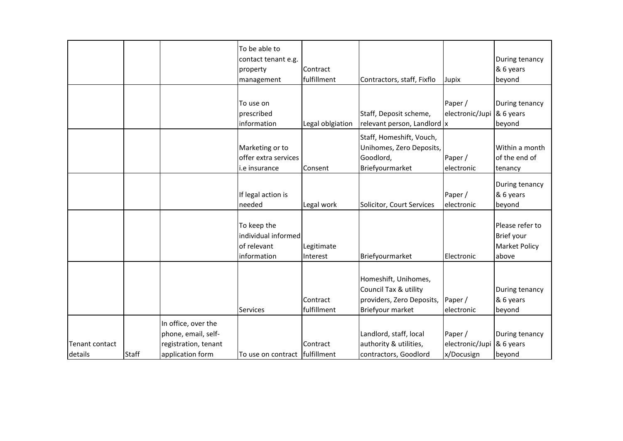|                |              |                      | To be able to<br>contact tenant e.g. |                  |                              |                 | During tenancy       |
|----------------|--------------|----------------------|--------------------------------------|------------------|------------------------------|-----------------|----------------------|
|                |              |                      | property                             | Contract         |                              |                 | & 6 years            |
|                |              |                      | management                           | fulfillment      | Contractors, staff, Fixflo   | Jupix           | beyond               |
|                |              |                      |                                      |                  |                              |                 |                      |
|                |              |                      | To use on                            |                  |                              | Paper /         | During tenancy       |
|                |              |                      | prescribed                           |                  | Staff, Deposit scheme,       | electronic/Jupi | & 6 years            |
|                |              |                      | information                          | Legal oblgiation | relevant person, Landlord  x |                 | beyond               |
|                |              |                      |                                      |                  | Staff, Homeshift, Vouch,     |                 |                      |
|                |              |                      |                                      |                  | Unihomes, Zero Deposits,     |                 | Within a month       |
|                |              |                      | Marketing or to                      |                  |                              |                 |                      |
|                |              |                      | offer extra services                 |                  | Goodlord,                    | Paper /         | of the end of        |
|                |              |                      | i.e insurance                        | Consent          | Briefyourmarket              | electronic      | tenancy              |
|                |              |                      |                                      |                  |                              |                 | During tenancy       |
|                |              |                      | If legal action is                   |                  |                              | Paper /         | & 6 years            |
|                |              |                      | needed                               | Legal work       | Solicitor, Court Services    | electronic      | beyond               |
|                |              |                      |                                      |                  |                              |                 |                      |
|                |              |                      | To keep the                          |                  |                              |                 | Please refer to      |
|                |              |                      | individual informed                  |                  |                              |                 | Brief your           |
|                |              |                      | of relevant                          | Legitimate       |                              |                 | <b>Market Policy</b> |
|                |              |                      | information                          | Interest         | Briefyourmarket              | Electronic      | above                |
|                |              |                      |                                      |                  |                              |                 |                      |
|                |              |                      |                                      |                  | Homeshift, Unihomes,         |                 |                      |
|                |              |                      |                                      |                  | Council Tax & utility        |                 | During tenancy       |
|                |              |                      |                                      | Contract         | providers, Zero Deposits,    | Paper /         | & 6 years            |
|                |              |                      | <b>Services</b>                      | fulfillment      | Briefyour market             | electronic      | beyond               |
|                |              |                      |                                      |                  |                              |                 |                      |
|                |              | In office, over the  |                                      |                  |                              |                 |                      |
|                |              | phone, email, self-  |                                      |                  | Landlord, staff, local       | Paper /         | During tenancy       |
| Tenant contact |              | registration, tenant |                                      | Contract         | authority & utilities,       | electronic/Jupi | & 6 years            |
| details        | <b>Staff</b> | application form     | To use on contract fulfillment       |                  | contractors, Goodlord        | x/Docusign      | beyond               |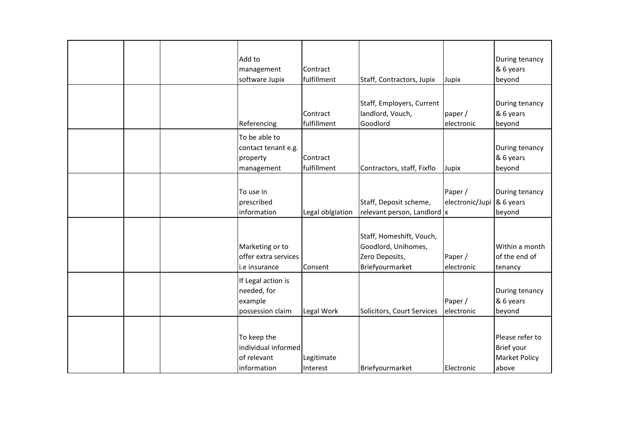| Add to               |                  |                             |                 | During tenancy       |
|----------------------|------------------|-----------------------------|-----------------|----------------------|
| management           | Contract         |                             |                 | & 6 years            |
| software Jupix       | fulfillment      | Staff, Contractors, Jupix   | Jupix           | beyond               |
|                      |                  |                             |                 |                      |
|                      |                  | Staff, Employers, Current   |                 | During tenancy       |
|                      | Contract         | landlord, Vouch,            | paper /         | & 6 years            |
| Referencing          | fulfillment      | Goodlord                    | electronic      | beyond               |
| To be able to        |                  |                             |                 |                      |
| contact tenant e.g.  |                  |                             |                 | During tenancy       |
| property             | Contract         |                             |                 | & 6 years            |
| management           | fulfillment      | Contractors, staff, Fixflo  | Jupix           | beyond               |
|                      |                  |                             |                 |                      |
| To use in            |                  |                             | Paper /         | During tenancy       |
| prescribed           |                  | Staff, Deposit scheme,      | electronic/Jupi | & 6 years            |
| information          | Legal oblgiation | relevant person, Landlord x |                 | beyond               |
|                      |                  |                             |                 |                      |
|                      |                  | Staff, Homeshift, Vouch,    |                 |                      |
| Marketing or to      |                  | Goodlord, Unihomes,         |                 | Within a month       |
| offer extra services |                  | Zero Deposits,              | Paper /         | of the end of        |
| i.e insurance        | Consent          | Briefyourmarket             | electronic      | tenancy              |
| If Legal action is   |                  |                             |                 |                      |
| needed, for          |                  |                             |                 | During tenancy       |
| example              |                  |                             | Paper /         | & 6 years            |
| possession claim     | Legal Work       | Solicitors, Court Services  | electronic      | beyond               |
|                      |                  |                             |                 |                      |
| To keep the          |                  |                             |                 | Please refer to      |
| individual informed  |                  |                             |                 | Brief your           |
| of relevant          | Legitimate       |                             |                 | <b>Market Policy</b> |
| information          | Interest         | Briefyourmarket             | Electronic      | above                |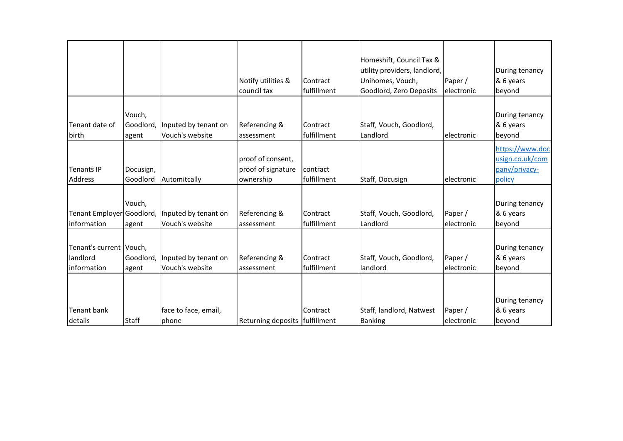|                                                     |                              |                                         | Notify utilities &<br>council tax                    | Contract<br>fulfillment | Homeshift, Council Tax &<br>utility providers, landlord,<br>Unihomes, Vouch,<br>Goodlord, Zero Deposits | Paper /<br>electronic | During tenancy<br>& 6 years<br>beyond                         |
|-----------------------------------------------------|------------------------------|-----------------------------------------|------------------------------------------------------|-------------------------|---------------------------------------------------------------------------------------------------------|-----------------------|---------------------------------------------------------------|
| Tenant date of<br>birth                             | Vouch,<br>Goodlord,<br>agent | Inputed by tenant on<br>Vouch's website | Referencing &<br>assessment                          | Contract<br>fulfillment | Staff, Vouch, Goodlord,<br>Landlord                                                                     | lelectronic           | During tenancy<br>& 6 years<br>beyond                         |
| <b>Tenants IP</b><br><b>Address</b>                 | Docusign,<br>Goodlord        | Automitcally                            | proof of consent,<br>proof of signature<br>ownership | contract<br>fulfillment | Staff, Docusign                                                                                         | electronic            | https://www.doc<br>usign.co.uk/com<br>pany/privacy-<br>policy |
| Tenant Employer Goodlord,<br>information            | Vouch,<br>agent              | Inputed by tenant on<br>Vouch's website | Referencing &<br>assessment                          | Contract<br>fulfillment | Staff, Vouch, Goodlord,<br>Landlord                                                                     | Paper /<br>electronic | During tenancy<br>& 6 years<br>beyond                         |
| Tenant's current Vouch,<br>landlord<br>linformation | Goodlord,<br>agent           | Inputed by tenant on<br>Vouch's website | Referencing &<br>assessment                          | Contract<br>fulfillment | Staff, Vouch, Goodlord,<br>landlord                                                                     | Paper /<br>electronic | During tenancy<br>& 6 years<br>beyond                         |
| <b>Tenant bank</b><br>details                       | <b>Staff</b>                 | face to face, email,<br>phone           | Returning deposits   fulfillment                     | Contract                | Staff, landlord, Natwest<br><b>Banking</b>                                                              | Paper /<br>electronic | During tenancy<br>& 6 years<br>beyond                         |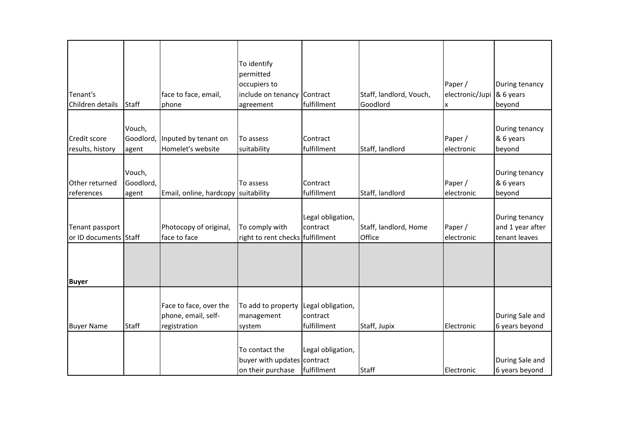|                       |              |                                     | To identify                      |                   |                         |                 |                  |
|-----------------------|--------------|-------------------------------------|----------------------------------|-------------------|-------------------------|-----------------|------------------|
|                       |              |                                     | permitted                        |                   |                         |                 |                  |
|                       |              |                                     | occupiers to                     |                   |                         | Paper /         | During tenancy   |
| Tenant's              |              | face to face, email,                | include on tenancy               | Contract          | Staff, landlord, Vouch, | electronic/Jupi | & 6 years        |
| Children details      | <b>Staff</b> | phone                               | agreement                        | fulfillment       | Goodlord                | X               | beyond           |
|                       |              |                                     |                                  |                   |                         |                 |                  |
|                       |              |                                     |                                  |                   |                         |                 |                  |
|                       | Vouch,       |                                     |                                  |                   |                         |                 | During tenancy   |
| Credit score          | Goodlord,    | Inputed by tenant on                | To assess                        | Contract          |                         | Paper /         | & 6 years        |
| results, history      | agent        | Homelet's website                   | suitability                      | fulfillment       | Staff, landlord         | electronic      | beyond           |
|                       |              |                                     |                                  |                   |                         |                 |                  |
|                       | Vouch,       |                                     |                                  |                   |                         |                 | During tenancy   |
| Other returned        | Goodlord,    |                                     | To assess                        | Contract          |                         | Paper /         | & 6 years        |
| references            | agent        | Email, online, hardcopy suitability |                                  | fulfillment       | Staff, landlord         | electronic      | beyond           |
|                       |              |                                     |                                  |                   |                         |                 |                  |
|                       |              |                                     |                                  | Legal obligation, |                         |                 | During tenancy   |
| Tenant passport       |              | Photocopy of original,              | To comply with                   | contract          | Staff, landlord, Home   | Paper /         | and 1 year after |
| or ID documents Staff |              | face to face                        | right to rent checks fulfillment |                   | Office                  | electronic      | tenant leaves    |
|                       |              |                                     |                                  |                   |                         |                 |                  |
|                       |              |                                     |                                  |                   |                         |                 |                  |
|                       |              |                                     |                                  |                   |                         |                 |                  |
| <b>Buyer</b>          |              |                                     |                                  |                   |                         |                 |                  |
|                       |              |                                     |                                  |                   |                         |                 |                  |
|                       |              | Face to face, over the              | To add to property               | Legal obligation, |                         |                 |                  |
|                       |              | phone, email, self-                 | management                       | contract          |                         |                 | During Sale and  |
| <b>Buyer Name</b>     | <b>Staff</b> | registration                        | system                           | fulfillment       | Staff, Jupix            | Electronic      | 6 years beyond   |
|                       |              |                                     |                                  |                   |                         |                 |                  |
|                       |              |                                     | To contact the                   | Legal obligation, |                         |                 |                  |
|                       |              |                                     | buyer with updates               | contract          |                         |                 | During Sale and  |
|                       |              |                                     | on their purchase                | fulfillment       | <b>Staff</b>            | Electronic      | 6 years beyond   |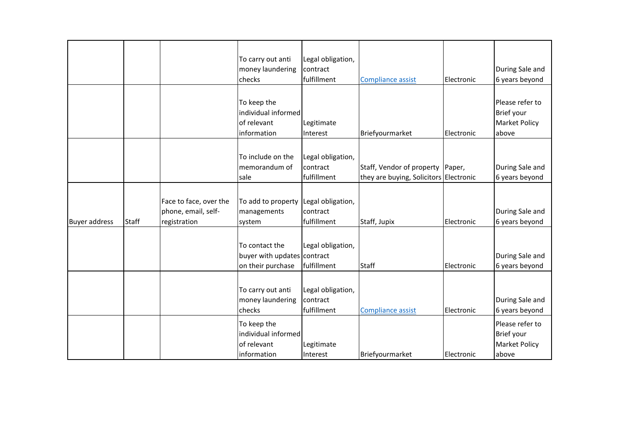|                      |              |                                                               | To carry out anti<br>money laundering<br>checks                    | Legal obligation,<br>contract<br>fulfillment | <b>Compliance assist</b>                                                   | Electronic | During Sale and<br>6 years beyond                              |
|----------------------|--------------|---------------------------------------------------------------|--------------------------------------------------------------------|----------------------------------------------|----------------------------------------------------------------------------|------------|----------------------------------------------------------------|
|                      |              |                                                               | To keep the<br>individual informed<br>of relevant<br>information   | Legitimate<br>Interest                       | Briefyourmarket                                                            | Electronic | Please refer to<br>Brief your<br><b>Market Policy</b><br>above |
|                      |              |                                                               | To include on the<br>memorandum of<br>sale                         | Legal obligation,<br>contract<br>fulfillment | Staff, Vendor of property Paper,<br>they are buying, Solicitors Electronic |            | During Sale and<br>6 years beyond                              |
| <b>Buyer address</b> | <b>Staff</b> | Face to face, over the<br>phone, email, self-<br>registration | To add to property<br>managements<br>system                        | Legal obligation,<br>contract<br>fulfillment | Staff, Jupix                                                               | Electronic | During Sale and<br>6 years beyond                              |
|                      |              |                                                               | To contact the<br>buyer with updates contract<br>on their purchase | Legal obligation,<br>fulfillment             | <b>Staff</b>                                                               | Electronic | During Sale and<br>6 years beyond                              |
|                      |              |                                                               | To carry out anti<br>money laundering<br>checks                    | Legal obligation,<br>contract<br>fulfillment | <b>Compliance assist</b>                                                   | Electronic | During Sale and<br>6 years beyond                              |
|                      |              |                                                               | To keep the<br>individual informed<br>of relevant<br>information   | Legitimate<br>Interest                       | Briefyourmarket                                                            | Electronic | Please refer to<br>Brief your<br><b>Market Policy</b><br>above |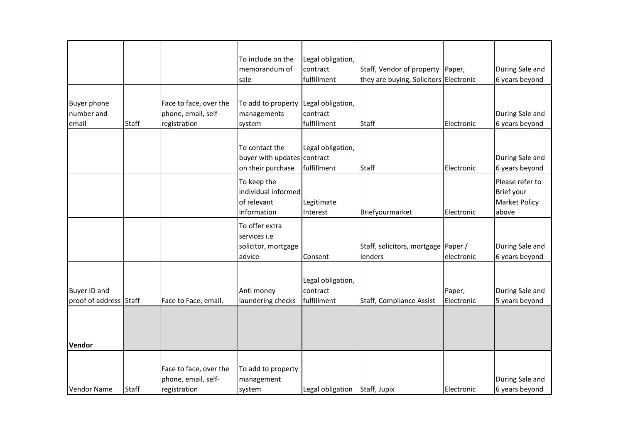|                                               |              |                                                               | To include on the<br>memorandum of<br>sale                         | Legal obligation,<br>contract<br>fulfillment | Staff, Vendor of property Paper,<br>they are buying, Solicitors Electronic |                      | During Sale and<br>6 years beyond                       |
|-----------------------------------------------|--------------|---------------------------------------------------------------|--------------------------------------------------------------------|----------------------------------------------|----------------------------------------------------------------------------|----------------------|---------------------------------------------------------|
| <b>Buyer phone</b><br>number and<br>email     | <b>Staff</b> | Face to face, over the<br>phone, email, self-<br>registration | To add to property<br>managements<br>system                        | Legal obligation,<br>contract<br>fulfillment | <b>Staff</b>                                                               | Electronic           | During Sale and<br>6 years beyond                       |
|                                               |              |                                                               | To contact the<br>buyer with updates contract<br>on their purchase | Legal obligation,<br>fulfillment             | <b>Staff</b>                                                               | Electronic           | During Sale and<br>6 years beyond                       |
|                                               |              |                                                               | To keep the<br>individual informed<br>of relevant<br>information   | Legitimate<br>Interest                       | Briefyourmarket                                                            | Electronic           | Please refer to<br>Brief your<br>Market Policy<br>above |
|                                               |              |                                                               | To offer extra<br>services i.e<br>solicitor, mortgage<br>advice    | Consent                                      | Staff, solicitors, mortgage   Paper /<br>lenders                           | electronic           | During Sale and<br>6 years beyond                       |
| <b>Buyer ID and</b><br>proof of address Staff |              | Face to Face, email.                                          | Anti money<br>laundering checks                                    | Legal obligation,<br>contract<br>fulfillment | Staff, Compliance Assist                                                   | Paper,<br>Electronic | During Sale and<br>5 years beyond                       |
| Vendor                                        |              |                                                               |                                                                    |                                              |                                                                            |                      |                                                         |
| <b>Vendor Name</b>                            | <b>Staff</b> | Face to face, over the<br>phone, email, self-<br>registration | To add to property<br>management<br>system                         | Legal obligation                             | Staff, Jupix                                                               | Electronic           | During Sale and<br>6 years beyond                       |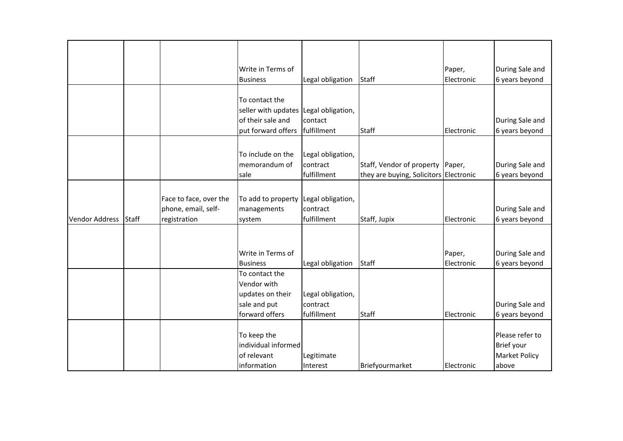|                       |       |                        | Write in Terms of                     |                   |                                        | Paper,     | During Sale and      |
|-----------------------|-------|------------------------|---------------------------------------|-------------------|----------------------------------------|------------|----------------------|
|                       |       |                        | <b>Business</b>                       | Legal obligation  | <b>Staff</b>                           | Electronic | 6 years beyond       |
|                       |       |                        |                                       |                   |                                        |            |                      |
|                       |       |                        | To contact the                        |                   |                                        |            |                      |
|                       |       |                        | seller with updates Legal obligation, |                   |                                        |            |                      |
|                       |       |                        | of their sale and                     | contact           |                                        |            | During Sale and      |
|                       |       |                        | put forward offers   fulfillment      |                   | <b>Staff</b>                           | Electronic | 6 years beyond       |
|                       |       |                        |                                       |                   |                                        |            |                      |
|                       |       |                        |                                       |                   |                                        |            |                      |
|                       |       |                        | To include on the                     | Legal obligation, |                                        |            |                      |
|                       |       |                        | memorandum of                         | contract          | Staff, Vendor of property Paper,       |            | During Sale and      |
|                       |       |                        | sale                                  | fulfillment       | they are buying, Solicitors Electronic |            | 6 years beyond       |
|                       |       |                        |                                       |                   |                                        |            |                      |
|                       |       | Face to face, over the | To add to property                    | Legal obligation, |                                        |            |                      |
|                       |       |                        |                                       | contract          |                                        |            |                      |
|                       |       | phone, email, self-    | managements                           |                   |                                        |            | During Sale and      |
| <b>Vendor Address</b> | Staff | registration           | system                                | fulfillment       | Staff, Jupix                           | Electronic | 6 years beyond       |
|                       |       |                        |                                       |                   |                                        |            |                      |
|                       |       |                        |                                       |                   |                                        |            |                      |
|                       |       |                        | Write in Terms of                     |                   |                                        | Paper,     | During Sale and      |
|                       |       |                        | <b>Business</b>                       | Legal obligation  | <b>Staff</b>                           | Electronic | 6 years beyond       |
|                       |       |                        | To contact the                        |                   |                                        |            |                      |
|                       |       |                        | Vendor with                           |                   |                                        |            |                      |
|                       |       |                        | updates on their                      | Legal obligation, |                                        |            |                      |
|                       |       |                        | sale and put                          | contract          |                                        |            | During Sale and      |
|                       |       |                        | forward offers                        | fulfillment       | <b>Staff</b>                           | Electronic | 6 years beyond       |
|                       |       |                        |                                       |                   |                                        |            |                      |
|                       |       |                        |                                       |                   |                                        |            | Please refer to      |
|                       |       |                        | To keep the                           |                   |                                        |            |                      |
|                       |       |                        | individual informed                   |                   |                                        |            | Brief your           |
|                       |       |                        | of relevant                           | Legitimate        |                                        |            | <b>Market Policy</b> |
|                       |       |                        | information                           | Interest          | Briefyourmarket                        | Electronic | above                |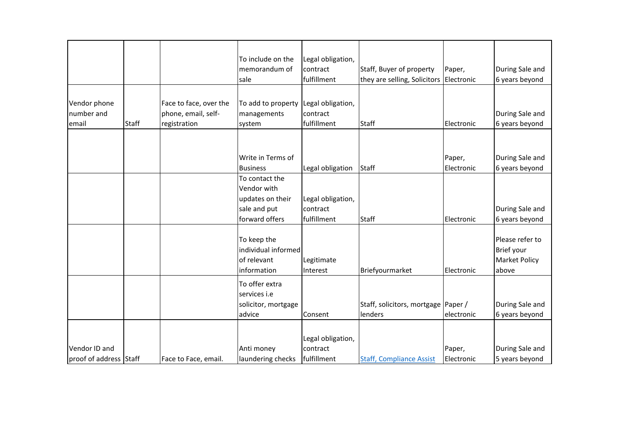|                                         |              |                                                               | To include on the<br>memorandum of<br>sale                                          | Legal obligation,<br>contract<br>fulfillment | Staff, Buyer of property<br>they are selling, Solicitors Electronic | Paper,               | During Sale and<br>6 years beyond                              |
|-----------------------------------------|--------------|---------------------------------------------------------------|-------------------------------------------------------------------------------------|----------------------------------------------|---------------------------------------------------------------------|----------------------|----------------------------------------------------------------|
| Vendor phone<br>number and<br>email     | <b>Staff</b> | Face to face, over the<br>phone, email, self-<br>registration | To add to property<br>managements<br>system                                         | Legal obligation,<br>contract<br>fulfillment | <b>Staff</b>                                                        | Electronic           | During Sale and<br>6 years beyond                              |
|                                         |              |                                                               | Write in Terms of<br><b>Business</b>                                                | Legal obligation                             | <b>Staff</b>                                                        | Paper,<br>Electronic | During Sale and<br>6 years beyond                              |
|                                         |              |                                                               | To contact the<br>Vendor with<br>updates on their<br>sale and put<br>forward offers | Legal obligation,<br>contract<br>fulfillment | <b>Staff</b>                                                        | Electronic           | During Sale and<br>6 years beyond                              |
|                                         |              |                                                               | To keep the<br>individual informed<br>of relevant<br>information                    | Legitimate<br>Interest                       | Briefyourmarket                                                     | Electronic           | Please refer to<br>Brief your<br><b>Market Policy</b><br>above |
|                                         |              |                                                               | To offer extra<br>services i.e<br>solicitor, mortgage<br>advice                     | Consent                                      | Staff, solicitors, mortgage Paper /<br>lenders                      | electronic           | During Sale and<br>6 years beyond                              |
| Vendor ID and<br>proof of address Staff |              | Face to Face, email.                                          | Anti money<br>laundering checks                                                     | Legal obligation,<br>contract<br>fulfillment | <b>Staff, Compliance Assist</b>                                     | Paper,<br>Electronic | During Sale and<br>5 years beyond                              |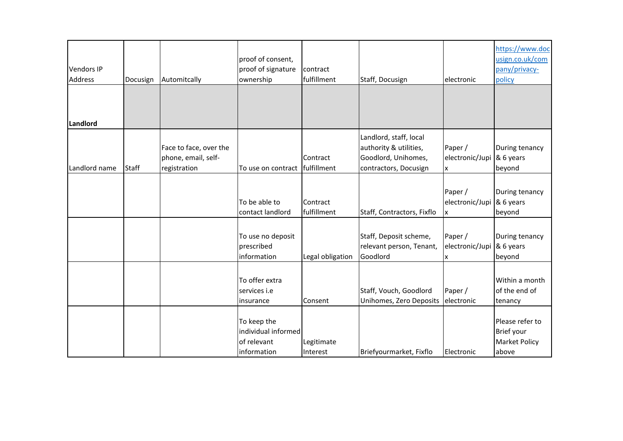| <b>Vendors IP</b><br><b>Address</b> | Docusign     | Automitcally           | proof of consent,<br>proof of signature<br>ownership | contract<br>fulfillment | Staff, Docusign            | electronic      | https://www.doc<br>usign.co.uk/com<br>pany/privacy-<br>policy |
|-------------------------------------|--------------|------------------------|------------------------------------------------------|-------------------------|----------------------------|-----------------|---------------------------------------------------------------|
|                                     |              |                        |                                                      |                         |                            |                 |                                                               |
|                                     |              |                        |                                                      |                         |                            |                 |                                                               |
| Landlord                            |              |                        |                                                      |                         |                            |                 |                                                               |
|                                     |              |                        |                                                      |                         | Landlord, staff, local     |                 |                                                               |
|                                     |              | Face to face, over the |                                                      |                         | authority & utilities,     | Paper /         | During tenancy                                                |
|                                     |              | phone, email, self-    |                                                      | Contract                | Goodlord, Unihomes,        | electronic/Jupi | & 6 years                                                     |
| Landlord name                       | <b>Staff</b> | registration           | To use on contract                                   | fulfillment             | contractors, Docusign      | X               | beyond                                                        |
|                                     |              |                        |                                                      |                         |                            |                 |                                                               |
|                                     |              |                        |                                                      |                         |                            | Paper /         | During tenancy                                                |
|                                     |              |                        | To be able to                                        | Contract                |                            | electronic/Jupi | & 6 years                                                     |
|                                     |              |                        | contact landlord                                     | fulfillment             | Staff, Contractors, Fixflo | Ιx              | beyond                                                        |
|                                     |              |                        |                                                      |                         |                            |                 |                                                               |
|                                     |              |                        | To use no deposit                                    |                         | Staff, Deposit scheme,     | Paper /         | During tenancy                                                |
|                                     |              |                        | prescribed                                           |                         | relevant person, Tenant,   | electronic/Jupi | & 6 years                                                     |
|                                     |              |                        | information                                          | Legal obligation        | Goodlord                   | x               | beyond                                                        |
|                                     |              |                        |                                                      |                         |                            |                 |                                                               |
|                                     |              |                        | To offer extra                                       |                         |                            |                 | Within a month                                                |
|                                     |              |                        | services i.e                                         |                         | Staff, Vouch, Goodlord     | Paper /         | of the end of                                                 |
|                                     |              |                        | insurance                                            | Consent                 | Unihomes, Zero Deposits    | electronic      | tenancy                                                       |
|                                     |              |                        |                                                      |                         |                            |                 |                                                               |
|                                     |              |                        | To keep the                                          |                         |                            |                 | Please refer to                                               |
|                                     |              |                        | individual informed                                  |                         |                            |                 | Brief your                                                    |
|                                     |              |                        | of relevant                                          | Legitimate              |                            |                 | <b>Market Policy</b>                                          |
|                                     |              |                        | information                                          | Interest                | Briefyourmarket, Fixflo    | Electronic      | above                                                         |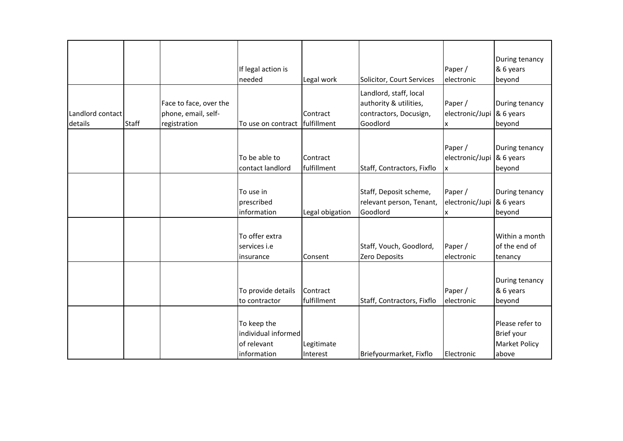|                  |              |                                               |                                                                  |                         |                                                                            |                                 | During tenancy                                                 |
|------------------|--------------|-----------------------------------------------|------------------------------------------------------------------|-------------------------|----------------------------------------------------------------------------|---------------------------------|----------------------------------------------------------------|
|                  |              |                                               | If legal action is                                               |                         |                                                                            | Paper /                         | & 6 years                                                      |
|                  |              |                                               | needed                                                           | Legal work              | Solicitor, Court Services                                                  | electronic                      | beyond                                                         |
| Landlord contact |              | Face to face, over the<br>phone, email, self- |                                                                  | Contract                | Landlord, staff, local<br>authority & utilities,<br>contractors, Docusign, | Paper /<br>electronic/Jupi      | During tenancy<br>& 6 years                                    |
| details          | <b>Staff</b> | registration                                  | To use on contract                                               | fulfillment             | Goodlord                                                                   | X                               | beyond                                                         |
|                  |              |                                               | To be able to<br>contact landlord                                | Contract<br>fulfillment | Staff, Contractors, Fixflo                                                 | Paper /<br>electronic/Jupi<br>X | During tenancy<br>& 6 years<br>beyond                          |
|                  |              |                                               | To use in<br>prescribed<br>information                           | Legal obigation         | Staff, Deposit scheme,<br>relevant person, Tenant,<br>Goodlord             | Paper /<br>electronic/Jupi<br>X | During tenancy<br>& 6 years<br>beyond                          |
|                  |              |                                               | To offer extra<br>services i.e<br>insurance                      | Consent                 | Staff, Vouch, Goodlord,<br>Zero Deposits                                   | Paper /<br>electronic           | Within a month<br>of the end of<br>tenancy                     |
|                  |              |                                               | To provide details<br>to contractor                              | Contract<br>fulfillment | Staff, Contractors, Fixflo                                                 | Paper /<br>electronic           | During tenancy<br>& 6 years<br>beyond                          |
|                  |              |                                               | To keep the<br>individual informed<br>of relevant<br>information | Legitimate<br>Interest  | Briefyourmarket, Fixflo                                                    | Electronic                      | Please refer to<br>Brief your<br><b>Market Policy</b><br>above |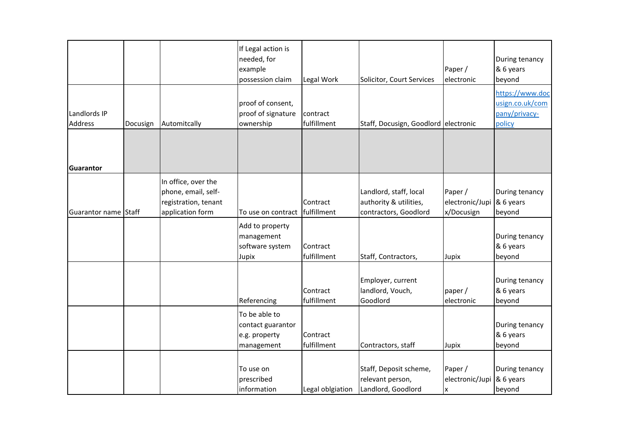|                         |          |                                                                                        | If Legal action is<br>needed, for<br>example<br>possession claim  | Legal Work              | Solicitor, Court Services                                                 | Paper /<br>electronic                    | During tenancy<br>& 6 years<br>beyond                         |
|-------------------------|----------|----------------------------------------------------------------------------------------|-------------------------------------------------------------------|-------------------------|---------------------------------------------------------------------------|------------------------------------------|---------------------------------------------------------------|
| Landlords IP<br>Address | Docusign | Automitcally                                                                           | proof of consent,<br>proof of signature<br>ownership              | contract<br>fulfillment | Staff, Docusign, Goodlord electronic                                      |                                          | https://www.doc<br>usign.co.uk/com<br>pany/privacy-<br>policy |
| Guarantor               |          |                                                                                        |                                                                   |                         |                                                                           |                                          |                                                               |
| Guarantor name Staff    |          | In office, over the<br>phone, email, self-<br>registration, tenant<br>application form | To use on contract                                                | Contract<br>fulfillment | Landlord, staff, local<br>authority & utilities,<br>contractors, Goodlord | Paper /<br>electronic/Jupi<br>x/Docusign | During tenancy<br>& 6 years<br>beyond                         |
|                         |          |                                                                                        | Add to property<br>management<br>software system<br>Jupix         | Contract<br>fulfillment | Staff, Contractors,                                                       | Jupix                                    | During tenancy<br>& 6 years<br>beyond                         |
|                         |          |                                                                                        | Referencing                                                       | Contract<br>fulfillment | Employer, current<br>landlord, Vouch,<br>Goodlord                         | paper /<br>electronic                    | During tenancy<br>& 6 years<br>beyond                         |
|                         |          |                                                                                        | To be able to<br>contact guarantor<br>e.g. property<br>management | Contract<br>fulfillment | Contractors, staff                                                        | Jupix                                    | During tenancy<br>& 6 years<br>beyond                         |
|                         |          |                                                                                        | To use on<br>prescribed<br>information                            | Legal oblgiation        | Staff, Deposit scheme,<br>relevant person,<br>Landlord, Goodlord          | Paper /<br>electronic/Jupi<br>X          | During tenancy<br>& 6 years<br>beyond                         |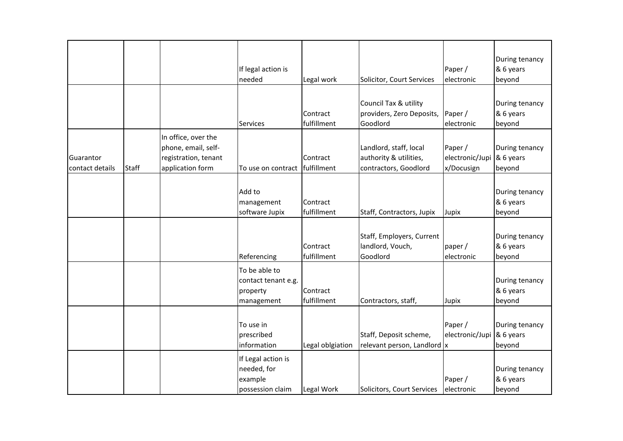|                              |              |                                                                                        | If legal action is<br>needed                                     | Legal work              | Solicitor, Court Services                                                 | Paper /<br>electronic                    | During tenancy<br>& 6 years<br>beyond |
|------------------------------|--------------|----------------------------------------------------------------------------------------|------------------------------------------------------------------|-------------------------|---------------------------------------------------------------------------|------------------------------------------|---------------------------------------|
|                              |              |                                                                                        | <b>Services</b>                                                  | Contract<br>fulfillment | Council Tax & utility<br>providers, Zero Deposits,<br>Goodlord            | Paper /<br>electronic                    | During tenancy<br>& 6 years<br>beyond |
| Guarantor<br>contact details | <b>Staff</b> | In office, over the<br>phone, email, self-<br>registration, tenant<br>application form | To use on contract fulfillment                                   | Contract                | Landlord, staff, local<br>authority & utilities,<br>contractors, Goodlord | Paper /<br>electronic/Jupi<br>x/Docusign | During tenancy<br>& 6 years<br>beyond |
|                              |              |                                                                                        | Add to<br>management<br>software Jupix                           | Contract<br>fulfillment | Staff, Contractors, Jupix                                                 | Jupix                                    | During tenancy<br>& 6 years<br>beyond |
|                              |              |                                                                                        | Referencing                                                      | Contract<br>fulfillment | Staff, Employers, Current<br>landlord, Vouch,<br>Goodlord                 | paper /<br>electronic                    | During tenancy<br>& 6 years<br>beyond |
|                              |              |                                                                                        | To be able to<br>contact tenant e.g.<br>property<br>management   | Contract<br>fulfillment | Contractors, staff,                                                       | Jupix                                    | During tenancy<br>& 6 years<br>beyond |
|                              |              |                                                                                        | To use in<br>prescribed<br>information                           | Legal oblgiation        | Staff, Deposit scheme,<br>relevant person, Landlord  x                    | Paper /<br>electronic/Jupi               | During tenancy<br>& 6 years<br>beyond |
|                              |              |                                                                                        | If Legal action is<br>needed, for<br>example<br>possession claim | Legal Work              | Solicitors, Court Services                                                | Paper /<br>electronic                    | During tenancy<br>& 6 years<br>beyond |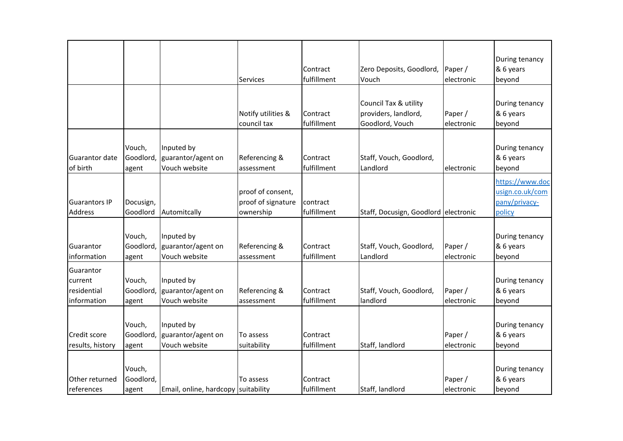|                                                    |                              |                                                   | Services                                             | Contract<br>fulfillment | Zero Deposits, Goodlord,<br>Vouch                                | Paper /<br>electronic  | During tenancy<br>& 6 years<br>beyond                         |
|----------------------------------------------------|------------------------------|---------------------------------------------------|------------------------------------------------------|-------------------------|------------------------------------------------------------------|------------------------|---------------------------------------------------------------|
|                                                    |                              |                                                   | Notify utilities &<br>council tax                    | Contract<br>fulfillment | Council Tax & utility<br>providers, landlord,<br>Goodlord, Vouch | Paper /<br>electronic  | During tenancy<br>& 6 years<br>beyond                         |
| Guarantor date<br>of birth                         | Vouch,<br>Goodlord,<br>agent | Inputed by<br>guarantor/agent on<br>Vouch website | Referencing &<br>assessment                          | Contract<br>fulfillment | Staff, Vouch, Goodlord,<br>Landlord                              | electronic             | During tenancy<br>& 6 years<br>beyond                         |
| <b>Guarantors IP</b><br><b>Address</b>             | Docusign,<br>Goodlord        | Automitcally                                      | proof of consent,<br>proof of signature<br>ownership | contract<br>fulfillment | Staff, Docusign, Goodlord electronic                             |                        | https://www.doc<br>usign.co.uk/com<br>pany/privacy-<br>policy |
| Guarantor<br>information                           | Vouch,<br>Goodlord,<br>agent | Inputed by<br>guarantor/agent on<br>Vouch website | Referencing &<br>assessment                          | Contract<br>fulfillment | Staff, Vouch, Goodlord,<br>Landlord                              | Paper /<br>electronic  | During tenancy<br>& 6 years<br>beyond                         |
| Guarantor<br>current<br>residential<br>information | Vouch,<br>Goodlord,<br>agent | Inputed by<br>guarantor/agent on<br>Vouch website | Referencing &<br>assessment                          | Contract<br>fulfillment | Staff, Vouch, Goodlord,<br>landlord                              | Paper /<br>electronic  | During tenancy<br>& 6 years<br>beyond                         |
| Credit score<br>results, history                   | Vouch,<br>Goodlord,<br>agent | Inputed by<br>guarantor/agent on<br>Vouch website | To assess<br>suitability                             | Contract<br>fulfillment | Staff, landlord                                                  | Paper /<br>electronic  | During tenancy<br>& 6 years<br>beyond                         |
| Other returned<br>references                       | Vouch,<br>Goodlord,<br>agent | Email, online, hardcopy suitability               | To assess                                            | Contract<br>fulfillment | Staff, landlord                                                  | Paper /<br>lelectronic | During tenancy<br>& 6 years<br>beyond                         |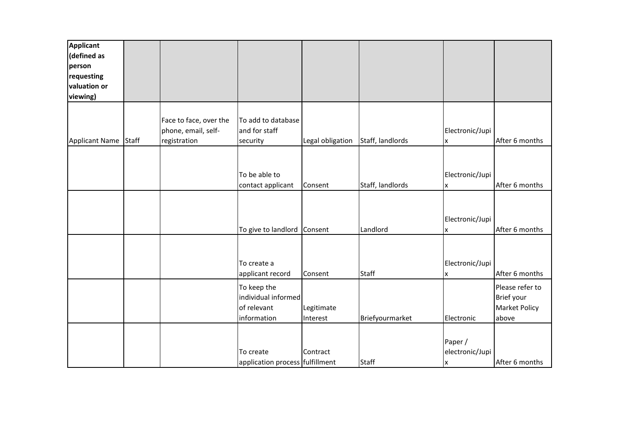| <b>Applicant</b> |              |                        |                                 |                  |                  |                 |                      |
|------------------|--------------|------------------------|---------------------------------|------------------|------------------|-----------------|----------------------|
| (defined as      |              |                        |                                 |                  |                  |                 |                      |
| person           |              |                        |                                 |                  |                  |                 |                      |
| requesting       |              |                        |                                 |                  |                  |                 |                      |
| valuation or     |              |                        |                                 |                  |                  |                 |                      |
| viewing)         |              |                        |                                 |                  |                  |                 |                      |
|                  |              |                        |                                 |                  |                  |                 |                      |
|                  |              | Face to face, over the | To add to database              |                  |                  |                 |                      |
|                  |              | phone, email, self-    | and for staff                   |                  |                  | Electronic/Jupi |                      |
| Applicant Name   | <b>Staff</b> | registration           | security                        | Legal obligation | Staff, landlords | X               | After 6 months       |
|                  |              |                        |                                 |                  |                  |                 |                      |
|                  |              |                        |                                 |                  |                  |                 |                      |
|                  |              |                        | To be able to                   |                  |                  | Electronic/Jupi |                      |
|                  |              |                        | contact applicant               | Consent          | Staff, landlords | X               | After 6 months       |
|                  |              |                        |                                 |                  |                  |                 |                      |
|                  |              |                        |                                 |                  |                  |                 |                      |
|                  |              |                        |                                 |                  |                  | Electronic/Jupi |                      |
|                  |              |                        | To give to landlord Consent     |                  | Landlord         | X               | After 6 months       |
|                  |              |                        |                                 |                  |                  |                 |                      |
|                  |              |                        |                                 |                  |                  |                 |                      |
|                  |              |                        | To create a                     |                  |                  | Electronic/Jupi |                      |
|                  |              |                        | applicant record                | Consent          | <b>Staff</b>     | X               | After 6 months       |
|                  |              |                        |                                 |                  |                  |                 |                      |
|                  |              |                        | To keep the                     |                  |                  |                 | Please refer to      |
|                  |              |                        | individual informed             |                  |                  |                 | Brief your           |
|                  |              |                        | of relevant                     | Legitimate       |                  |                 | <b>Market Policy</b> |
|                  |              |                        | information                     | Interest         | Briefyourmarket  | Electronic      | above                |
|                  |              |                        |                                 |                  |                  |                 |                      |
|                  |              |                        |                                 |                  |                  | Paper /         |                      |
|                  |              |                        | To create                       | Contract         |                  | electronic/Jupi |                      |
|                  |              |                        | application process fulfillment |                  | <b>Staff</b>     | <b>x</b>        | After 6 months       |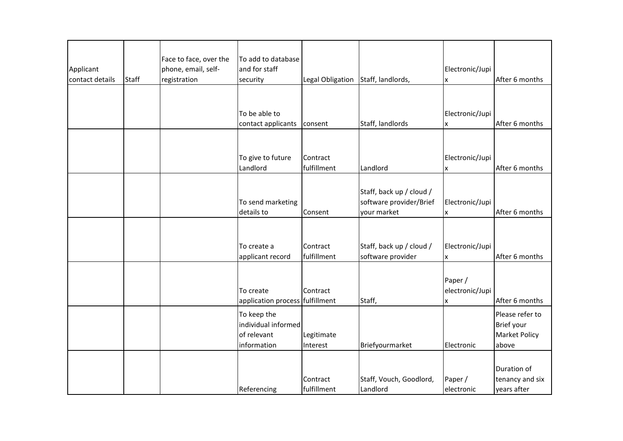| Applicant<br>contact details | <b>Staff</b> | Face to face, over the<br>phone, email, self-<br>registration | To add to database<br>and for staff<br>security                  | Legal Obligation        | Staff, landlords,                                                  | Electronic/Jupi<br>X            | After 6 months                                                 |
|------------------------------|--------------|---------------------------------------------------------------|------------------------------------------------------------------|-------------------------|--------------------------------------------------------------------|---------------------------------|----------------------------------------------------------------|
|                              |              |                                                               |                                                                  |                         |                                                                    |                                 |                                                                |
|                              |              |                                                               | To be able to<br>contact applicants                              | consent                 | Staff, landlords                                                   | Electronic/Jupi<br>X            | After 6 months                                                 |
|                              |              |                                                               | To give to future<br>Landlord                                    | Contract<br>fulfillment | Landlord                                                           | Electronic/Jupi<br>x            | After 6 months                                                 |
|                              |              |                                                               | To send marketing<br>details to                                  | Consent                 | Staff, back up / cloud /<br>software provider/Brief<br>your market | Electronic/Jupi<br>X            | After 6 months                                                 |
|                              |              |                                                               | To create a<br>applicant record                                  | Contract<br>fulfillment | Staff, back up / cloud /<br>software provider                      | Electronic/Jupi<br>X            | After 6 months                                                 |
|                              |              |                                                               | To create<br>application process fulfillment                     | Contract                | Staff,                                                             | Paper /<br>electronic/Jupi<br>X | After 6 months                                                 |
|                              |              |                                                               | To keep the<br>individual informed<br>of relevant<br>information | Legitimate<br>Interest  | Briefyourmarket                                                    | Electronic                      | Please refer to<br>Brief your<br><b>Market Policy</b><br>above |
|                              |              |                                                               | Referencing                                                      | Contract<br>fulfillment | Staff, Vouch, Goodlord,<br>Landlord                                | Paper /<br>electronic           | Duration of<br>tenancy and six<br>years after                  |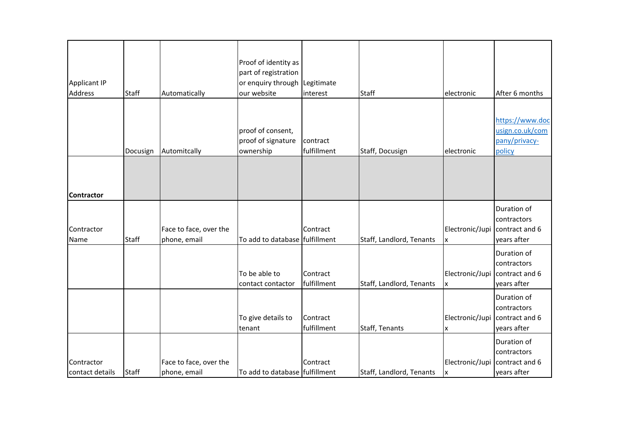|                               |              |                                        | Proof of identity as<br>part of registration         |                         |                          |                      |                                                               |
|-------------------------------|--------------|----------------------------------------|------------------------------------------------------|-------------------------|--------------------------|----------------------|---------------------------------------------------------------|
| Applicant IP                  |              |                                        | or enquiry through Legitimate                        |                         |                          |                      |                                                               |
| <b>Address</b>                | <b>Staff</b> | Automatically                          | our website                                          | interest                | <b>Staff</b>             | electronic           | After 6 months                                                |
|                               | Docusign     | Automitcally                           | proof of consent,<br>proof of signature<br>ownership | contract<br>fulfillment | Staff, Docusign          | electronic           | https://www.doc<br>usign.co.uk/com<br>pany/privacy-<br>policy |
| <b>Contractor</b>             |              |                                        |                                                      |                         |                          |                      |                                                               |
|                               |              |                                        |                                                      |                         |                          |                      | Duration of                                                   |
| Contractor<br>Name            | <b>Staff</b> | Face to face, over the<br>phone, email | To add to database fulfillment                       | Contract                | Staff, Landlord, Tenants | Electronic/Jupi<br>X | contractors<br>contract and 6<br>years after                  |
|                               |              |                                        | To be able to<br>contact contactor                   | Contract<br>fulfillment | Staff, Landlord, Tenants | Electronic/Jupi<br>X | Duration of<br>contractors<br>contract and 6<br>years after   |
|                               |              |                                        | To give details to<br>tenant                         | Contract<br>fulfillment | Staff, Tenants           | Electronic/Jupi<br>X | Duration of<br>contractors<br>contract and 6<br>years after   |
| Contractor<br>contact details | <b>Staff</b> | Face to face, over the<br>phone, email | To add to database fulfillment                       | Contract                | Staff, Landlord, Tenants | Electronic/Jupi<br>X | Duration of<br>contractors<br>contract and 6<br>years after   |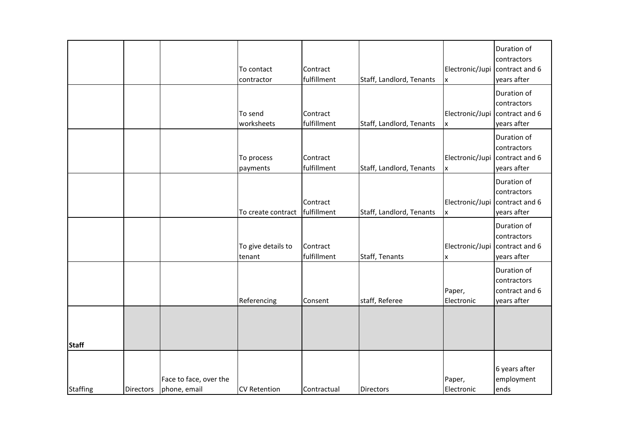|                 |                  |                                        | To contact<br>contractor     | Contract<br>fulfillment | Staff, Landlord, Tenants | Electronic/Jupi<br>X  | Duration of<br>contractors<br>contract and 6<br>years after |
|-----------------|------------------|----------------------------------------|------------------------------|-------------------------|--------------------------|-----------------------|-------------------------------------------------------------|
|                 |                  |                                        | To send<br>worksheets        | Contract<br>fulfillment | Staff, Landlord, Tenants | Electronic/Jupi<br>X  | Duration of<br>contractors<br>contract and 6<br>years after |
|                 |                  |                                        | To process<br>payments       | Contract<br>fulfillment | Staff, Landlord, Tenants | Electronic/Jupi<br>Ιx | Duration of<br>contractors<br>contract and 6<br>years after |
|                 |                  |                                        | To create contract           | Contract<br>fulfillment | Staff, Landlord, Tenants | Electronic/Jupi<br>X  | Duration of<br>contractors<br>contract and 6<br>years after |
|                 |                  |                                        | To give details to<br>tenant | Contract<br>fulfillment | Staff, Tenants           | Electronic/Jupi<br>X  | Duration of<br>contractors<br>contract and 6<br>years after |
|                 |                  |                                        | Referencing                  | Consent                 | staff, Referee           | Paper,<br>Electronic  | Duration of<br>contractors<br>contract and 6<br>years after |
| <b>Staff</b>    |                  |                                        |                              |                         |                          |                       |                                                             |
| <b>Staffing</b> | <b>Directors</b> | Face to face, over the<br>phone, email | <b>CV Retention</b>          | Contractual             | Directors                | Paper,<br>Electronic  | 6 years after<br>employment<br>ends                         |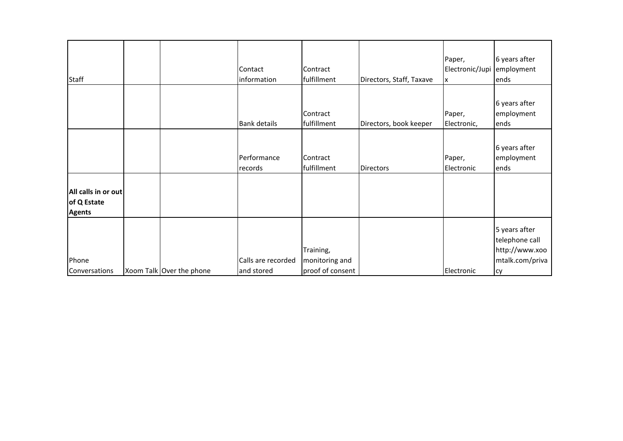| <b>Staff</b>                                        |                          | Contact<br>information           | Contract<br>fulfillment                         | Directors, Staff, Taxave | Paper,<br>Electronic/Jupi<br><u>lx</u> | 6 years after<br>employment<br>ends                                               |
|-----------------------------------------------------|--------------------------|----------------------------------|-------------------------------------------------|--------------------------|----------------------------------------|-----------------------------------------------------------------------------------|
|                                                     |                          | <b>Bank details</b>              | Contract<br>fulfillment                         | Directors, book keeper   | Paper,<br>Electronic,                  | 6 years after<br>employment<br>ends                                               |
|                                                     |                          | Performance<br>records           | Contract<br>fulfillment                         | <b>Directors</b>         | Paper,<br>Electronic                   | 6 years after<br>employment<br>ends                                               |
| All calls in or out<br>of Q Estate<br><b>Agents</b> |                          |                                  |                                                 |                          |                                        |                                                                                   |
| Phone<br>Conversations                              | Xoom Talk Over the phone | Calls are recorded<br>and stored | Training,<br>monitoring and<br>proof of consent |                          | Electronic                             | 5 years after<br>telephone call<br>http://www.xoo<br>mtalk.com/priva<br><b>cy</b> |